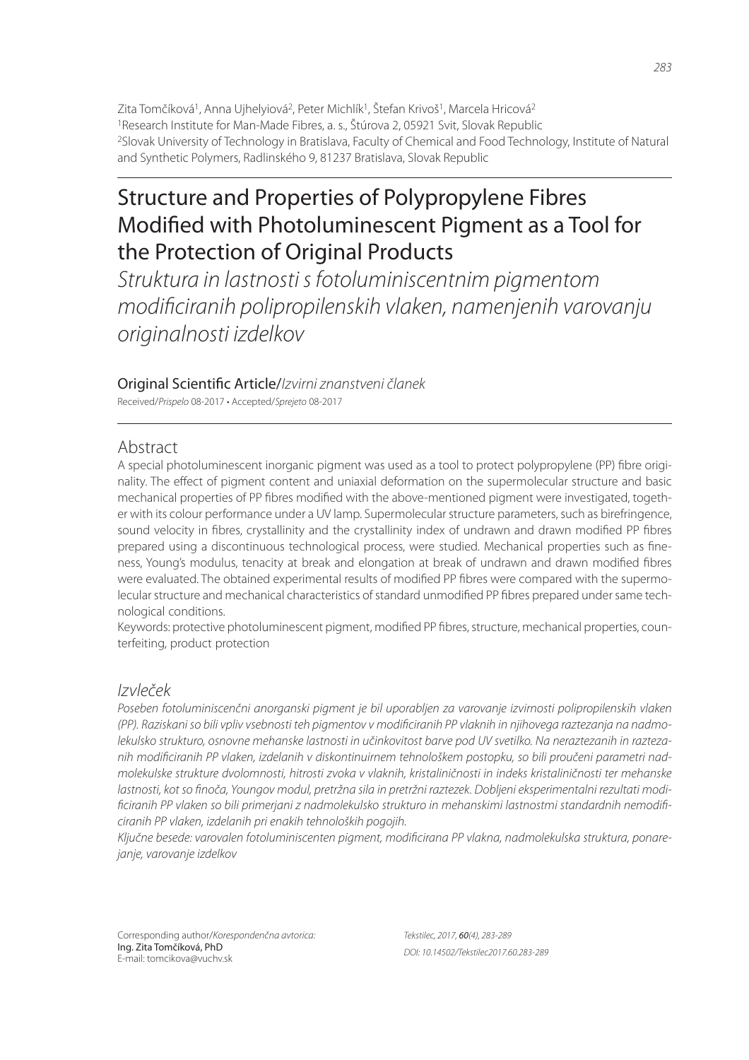Zita Tomčíková<sup>1</sup>, Anna Ujhelyiová<sup>2</sup>, Peter Michlík<sup>1</sup>, Štefan Krivoš<sup>1</sup>, Marcela Hricová<sup>2</sup> <sup>1</sup>Research Institute for Man-Made Fibres, a. s., Štúrova 2, 05921 Svit, Slovak Republic <sup>2</sup>Slovak University of Technology in Bratislava, Faculty of Chemical and Food Technology, Institute of Natural and Synthetic Polymers, Radlinského 9, 81237 Bratislava, Slovak Republic

# Structure and Properties of Polypropylene Fibres Modified with Photoluminescent Pigment as a Tool for the Protection of Original Products

*Struktura in lastnosti s fotoluminiscentnim pigmentom modifi ciranih polipropilenskih vlaken, namenjenih varovanju originalnosti izdelkov*

### Original Scienti! c Article/*Izvirni znanstveni članek*

Received/*Prispelo* 08-2017 • Accepted/*Sprejeto* 08-2017

## Abstract

A special photoluminescent inorganic pigment was used as a tool to protect polypropylene (PP) fibre originality. The effect of pigment content and uniaxial deformation on the supermolecular structure and basic mechanical properties of PP fibres modified with the above-mentioned pigment were investigated, together with its colour performance under a UV lamp. Supermolecular structure parameters, such as birefringence, sound velocity in fibres, crystallinity and the crystallinity index of undrawn and drawn modified PP fibres prepared using a discontinuous technological process, were studied. Mechanical properties such as fineness, Young's modulus, tenacity at break and elongation at break of undrawn and drawn modified fibres were evaluated. The obtained experimental results of modified PP fibres were compared with the supermolecular structure and mechanical characteristics of standard unmodified PP fibres prepared under same technological conditions.

Keywords: protective photoluminescent pigment, modified PP fibres, structure, mechanical properties, counterfeiting, product protection

# *Izvleček*

*Poseben fotoluminiscenčni anorganski pigment je bil uporabljen za varovanje izvirnosti polipropilenskih vlaken (PP). Raziskani so bili vpliv vsebnosti teh pigmentov v modifi ciranih PP vlaknih in njihovega raztezanja na nadmolekulsko strukturo, osnovne mehanske lastnosti in učinkovitost barve pod UV svetilko. Na neraztezanih in raztezanih modifi ciranih PP vlaken, izdelanih v diskontinuirnem tehnološkem postopku, so bili proučeni parametri nadmolekulske strukture dvolomnosti, hitrosti zvoka v vlaknih, kristaliničnosti in indeks kristaliničnosti ter mehanske*  lastnosti, kot so finoča, Youngov modul, pretržna sila in pretržni raztezek. Dobljeni eksperimentalni rezultati modi*fi ciranih PP vlaken so bili primerjani z nadmolekulsko strukturo in mehanskimi lastnostmi standardnih nemodifi ciranih PP vlaken, izdelanih pri enakih tehnoloških pogojih.*

Ključne besede: varovalen fotoluminiscenten pigment, modificirana PP vlakna, nadmolekulska struktura, ponare*janje, varovanje izdelkov*

Corresponding author/*Korespondenčna avtorica:* Ing. Zita Tomčíková, PhD E-mail: tomcikova@vuchv.sk

*Tekstilec, 2017,* 60*(4), 283-289 DOI: 10.14502/Tekstilec2017.60.283-289*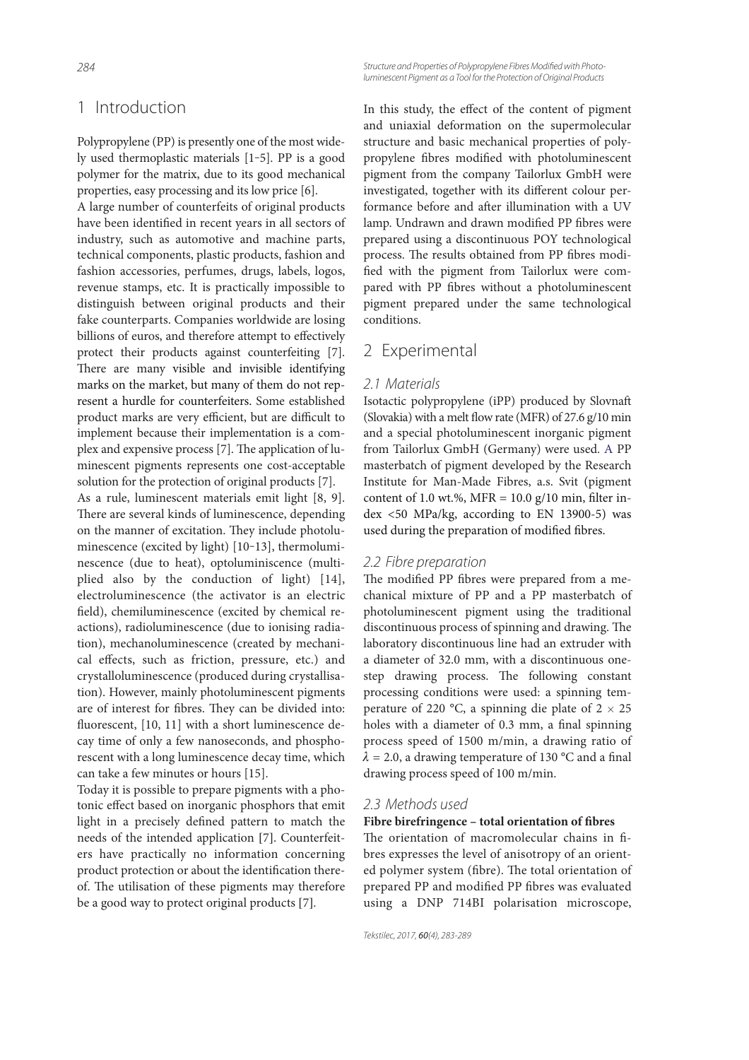# 1 Introduction

Polypropylene (PP) is presently one of the most widely used thermoplastic materials [1‒5]. PP is a good polymer for the matrix, due to its good mechanical properties, easy processing and its low price [6].

A large number of counterfeits of original products have been identified in recent years in all sectors of industry, such as automotive and machine parts, technical components, plastic products, fashion and fashion accessories, perfumes, drugs, labels, logos, revenue stamps, etc. It is practically impossible to distinguish between original products and their fake counterparts. Companies worldwide are losing billions of euros, and therefore attempt to effectively protect their products against counterfeiting [7]. There are many visible and invisible identifying marks on the market, but many of them do not represent a hurdle for counterfeiters. Some established product marks are very efficient, but are difficult to implement because their implementation is a complex and expensive process [7]. The application of luminescent pigments represents one cost-acceptable solution for the protection of original products [7].

As a rule, luminescent materials emit light [8, 9]. There are several kinds of luminescence, depending on the manner of excitation. They include photoluminescence (excited by light) [10-13], thermoluminescence (due to heat), optoluminiscence (multiplied also by the conduction of light) [14], electroluminescence (the activator is an electric field), chemiluminescence (excited by chemical reactions), radioluminescence (due to ionising radiation), mechanoluminescence (created by mechanical effects, such as friction, pressure, etc.) and crystalloluminescence (produced during crystallisation). However, mainly photoluminescent pigments are of interest for fibres. They can be divided into: fluorescent, [10, 11] with a short luminescence decay time of only a few nanoseconds, and phosphorescent with a long luminescence decay time, which can take a few minutes or hours [15].

Today it is possible to prepare pigments with a photonic effect based on inorganic phosphors that emit light in a precisely defined pattern to match the needs of the intended application [7]. Counterfeiters have practically no information concerning product protection or about the identification thereof. The utilisation of these pigments may therefore be a good way to protect original products [7].

Structure and Properties of Polypropylene Fibres Modified with Photo*luminescent Pigment as a Tool for the Protection of Original Products*

In this study, the effect of the content of pigment and uniaxial deformation on the supermolecular structure and basic mechanical properties of polypropylene fibres modified with photoluminescent pigment from the company Tailorlux GmbH were investigated, together with its different colour performance before and after illumination with a UV lamp. Undrawn and drawn modified PP fibres were prepared using a discontinuous POY technological process. The results obtained from PP fibres modified with the pigment from Tailorlux were compared with PP fibres without a photoluminescent pigment prepared under the same technological conditions.

### 2 Experimental

#### *2.1 Materials*

Isotactic polypropylene (iPP) produced by Slovnaft (Slovakia) with a melt flow rate (MFR) of  $27.6$  g/10 min and a special photoluminescent inorganic pigment from Tailorlux GmbH (Germany) were used. A PP masterbatch of pigment developed by the Research Institute for Man-Made Fibres, a.s. Svit (pigment content of 1.0 wt.%, MFR =  $10.0$  g/10 min, filter index <50 MPa/kg, according to EN 13900-5) was used during the preparation of modified fibres.

### *2.2 Fibre preparation*

The modified PP fibres were prepared from a mechanical mixture of PP and a PP masterbatch of photoluminescent pigment using the traditional discontinuous process of spinning and drawing. The laboratory discontinuous line had an extruder with a diameter of 32.0 mm, with a discontinuous onestep drawing process. The following constant processing conditions were used: a spinning temperature of 220 °C, a spinning die plate of  $2 \times 25$ holes with a diameter of 0.3 mm, a final spinning process speed of 1500 m/min, a drawing ratio of  $\lambda$  = 2.0, a drawing temperature of 130 °C and a final drawing process speed of 100 m/min.

### *2.3 Methods used*

### Fibre birefringence - total orientation of fibres

The orientation of macromolecular chains in fibres expresses the level of anisotropy of an oriented polymer system (fibre). The total orientation of prepared PP and modified PP fibres was evaluated using a DNP 714BI polarisation microscope,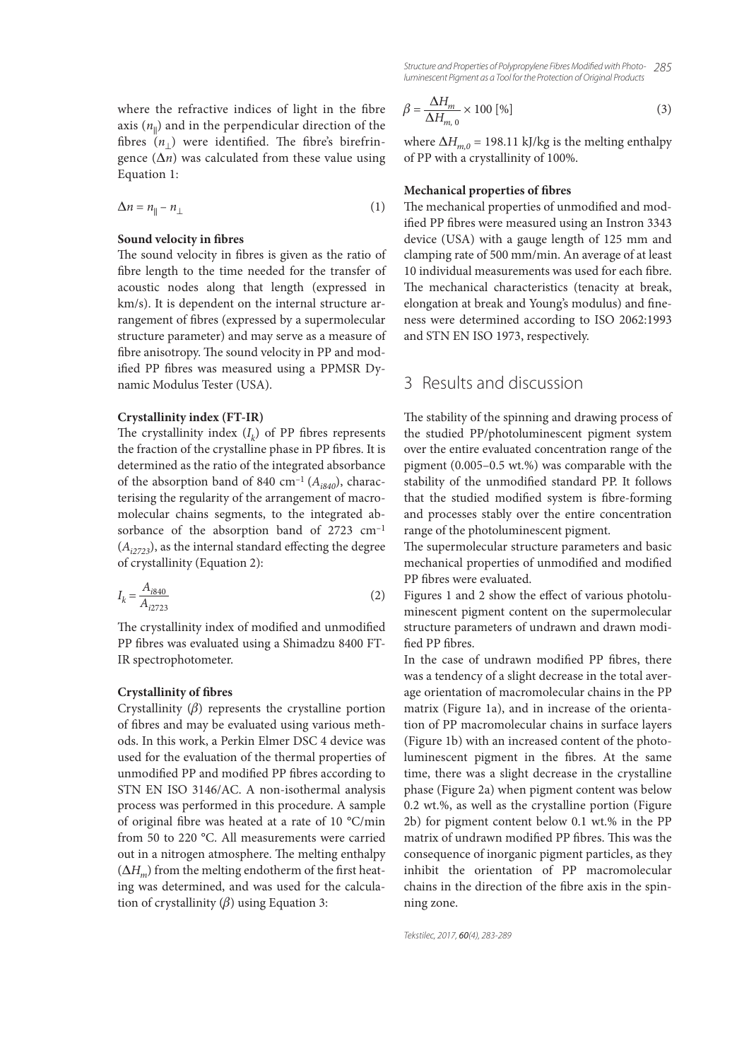where the refractive indices of light in the fibre axis  $(n_{\rm II})$  and in the perpendicular direction of the fibres  $(n_{\perp})$  were identified. The fibre's birefringence  $(\Delta n)$  was calculated from these value using Equation 1:

$$
\Delta n = n_{\parallel} - n_{\perp} \tag{1}
$$

### **Sound velocity in fibres**

The sound velocity in fibres is given as the ratio of fibre length to the time needed for the transfer of acoustic nodes along that length (expressed in km/s). It is dependent on the internal structure arrangement of fibres (expressed by a supermolecular structure parameter) and may serve as a measure of fibre anisotropy. The sound velocity in PP and modified PP fibres was measured using a PPMSR Dynamic Modulus Tester (USA).

#### **Crystallinity index (FT-IR)**

The crystallinity index  $(I_k)$  of PP fibres represents the fraction of the crystalline phase in PP fibres. It is determined as the ratio of the integrated absorbance of the absorption band of 840 cm<sup>-1</sup> ( $A_{i840}$ ), characterising the regularity of the arrangement of macromolecular chains segments, to the integrated absorbance of the absorption band of 2723 cm–1  $(A<sub>i2723</sub>)$ , as the internal standard effecting the degree of crystallinity (Equation 2):

$$
I_k = \frac{A_{i840}}{A_{i2723}}
$$
 (2)

The crystallinity index of modified and unmodified PP fibres was evaluated using a Shimadzu 8400 FT-IR spectrophotometer.

#### **Crystallinity of fibres**

Crystallinity  $(\beta)$  represents the crystalline portion of fibres and may be evaluated using various methods. In this work, a Perkin Elmer DSC 4 device was used for the evaluation of the thermal properties of unmodified PP and modified PP fibres according to STN EN ISO 3146/AC. A non-isothermal analysis process was performed in this procedure. A sample of original fibre was heated at a rate of 10  $^{\circ}$ C/min from 50 to 220 °C. All measurements were carried out in a nitrogen atmosphere. The melting enthalpy  $(\Delta H_m)$  from the melting endotherm of the first heating was determined, and was used for the calculation of crystallinity  $(\beta)$  using Equation 3:

*285 Structure and Properties of Polypropylene Fibres Modifi ed with Photoluminescent Pigment as a Tool for the Protection of Original Products*

$$
\beta = \frac{\Delta H_m}{\Delta H_{m,0}} \times 100 \, [\%]
$$
\n(3)

where  $\Delta H_{m,0}$  = 198.11 kJ/kg is the melting enthalpy of PP with a crystallinity of 100%.

#### **Mechanical properties of fibres**

The mechanical properties of unmodified and modified PP fibres were measured using an Instron 3343 device (USA) with a gauge length of 125 mm and clamping rate of 500 mm/min. An average of at least 10 individual measurements was used for each fibre. The mechanical characteristics (tenacity at break, elongation at break and Young's modulus) and fineness were determined according to ISO 2062:1993 and STN EN ISO 1973, respectively.

# 3 Results and discussion

The stability of the spinning and drawing process of the studied PP/photoluminescent pigment system over the entire evaluated concentration range of the pigment (0.005–0.5 wt.%) was comparable with the stability of the unmodified standard PP. It follows that the studied modified system is fibre-forming and processes stably over the entire concentration range of the photoluminescent pigment.

The supermolecular structure parameters and basic mechanical properties of unmodified and modified PP fibres were evaluated.

Figures 1 and 2 show the effect of various photoluminescent pigment content on the supermolecular structure parameters of undrawn and drawn modi fied PP fibres

In the case of undrawn modified PP fibres, there was a tendency of a slight decrease in the total average orientation of macromolecular chains in the PP matrix (Figure 1a), and in increase of the orientation of PP macromolecular chains in surface layers (Figure 1b) with an increased content of the photoluminescent pigment in the fibres. At the same time, there was a slight decrease in the crystalline phase (Figure 2a) when pigment content was below 0.2 wt.%, as well as the crystalline portion (Figure 2b) for pigment content below 0.1 wt.% in the PP matrix of undrawn modified PP fibres. This was the consequence of inorganic pigment particles, as they inhibit the orientation of PP macromolecular chains in the direction of the fibre axis in the spinning zone.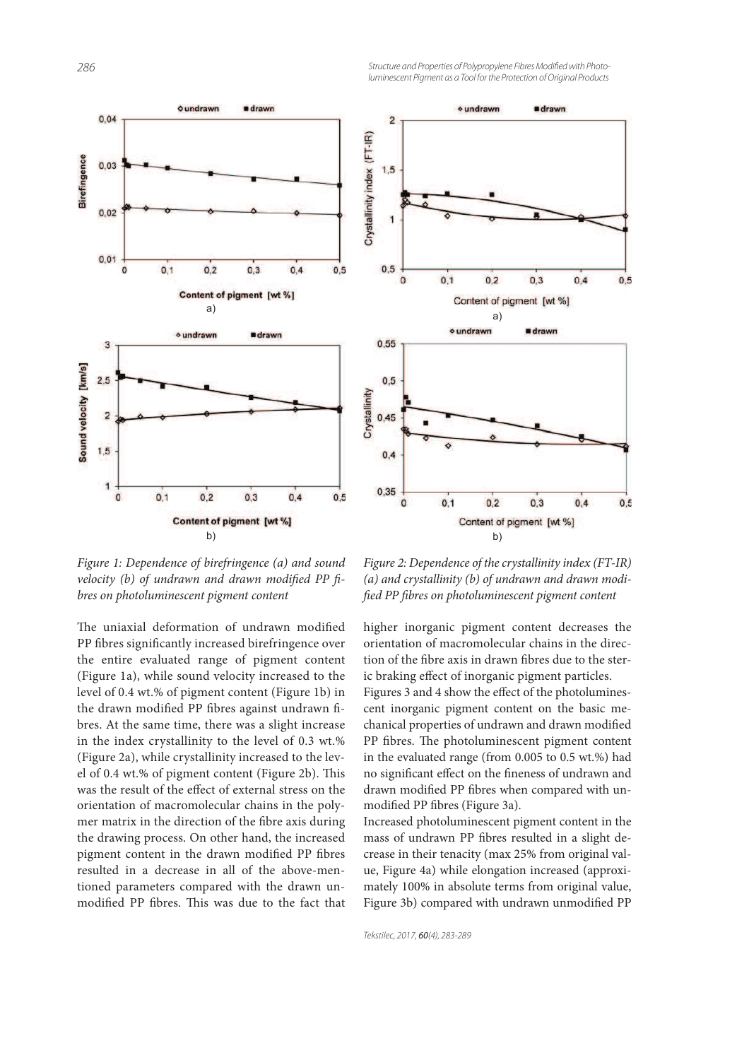



Figure 1: Dependence of birefringence (a) and sound velocity (b) of undrawn and drawn modified PP  $\hat{h}$ bres on photoluminescent pigment content

The uniaxial deformation of undrawn modified PP fibres significantly increased birefringence over the entire evaluated range of pigment content (Figure 1a), while sound velocity increased to the level of 0.4 wt.% of pigment content (Figure 1b) in the drawn modified PP fibres against undrawn fibres. At the same time, there was a slight increase in the index crystallinity to the level of 0.3 wt.% (Figure 2a), while crystallinity increased to the level of 0.4 wt.% of pigment content (Figure 2b). This was the result of the effect of external stress on the orientation of macromolecular chains in the polymer matrix in the direction of the fibre axis during the drawing process. On other hand, the increased pigment content in the drawn modified PP fibres resulted in a decrease in all of the above-mentioned parameters compared with the drawn unmodified PP fibres. This was due to the fact that

Figure 2: Dependence of the crystallinity index (FT-IR) (a) and crystallinity (b) of undrawn and drawn modi fied PP fibres on photoluminescent pigment content

higher inorganic pigment content decreases the orientation of macromolecular chains in the direction of the fibre axis in drawn fibres due to the steric braking effect of inorganic pigment particles. Figures 3 and 4 show the effect of the photoluminescent inorganic pigment content on the basic mechanical properties of undrawn and drawn modified PP fibres. The photoluminescent pigment content in the evaluated range (from 0.005 to 0.5 wt.%) had no significant effect on the fineness of undrawn and drawn modified PP fibres when compared with unmodified PP fibres (Figure 3a).

Increased photoluminescent pigment content in the mass of undrawn PP fibres resulted in a slight decrease in their tenacity (max 25% from original value, Figure 4a) while elongation increased (approximately 100% in absolute terms from original value, Figure 3b) compared with undrawn unmodified PP

*Tekstilec, 2017,* 60*(4), 283-289*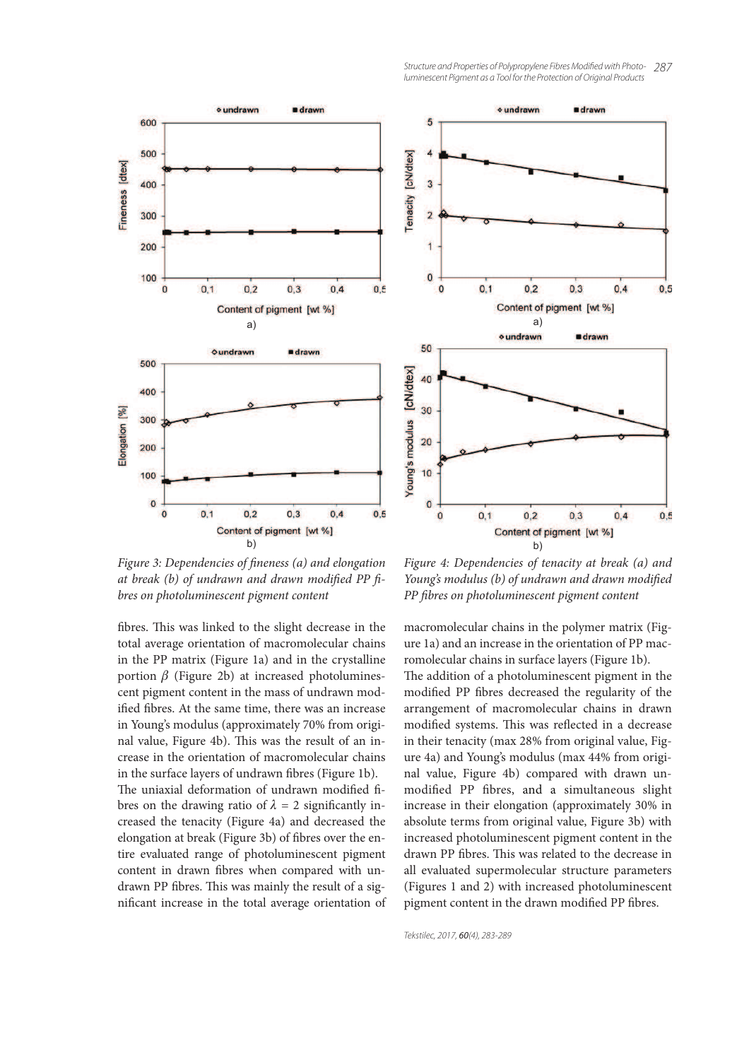



Figure 3: Dependencies of fineness (a) and elongation at break (b) of undrawn and drawn modified PP  $\hat{h}$ bres on photoluminescent pigment content

fibres. This was linked to the slight decrease in the total average orientation of macromolecular chains in the PP matrix (Figure 1a) and in the crystalline portion  $β$  (Figure 2b) at increased photoluminescent pigment content in the mass of undrawn modified fibres. At the same time, there was an increase in Young's modulus (approximately 70% from original value, Figure 4b). This was the result of an increase in the orientation of macromolecular chains in the surface layers of undrawn fibres (Figure 1b). The uniaxial deformation of undrawn modified fibres on the drawing ratio of  $\lambda = 2$  significantly increased the tenacity (Figure 4a) and decreased the elongation at break (Figure 3b) of fibres over the entire evaluated range of photoluminescent pigment content in drawn fibres when compared with undrawn PP fibres. This was mainly the result of a significant increase in the total average orientation of

Figure 4: Dependencies of tenacity at break (a) and Young's modulus (b) of undrawn and drawn modified PP fibres on photoluminescent pigment content

macromolecular chains in the polymer matrix (Figure 1a) and an increase in the orientation of PP macromolecular chains in surface layers (Figure 1b).

The addition of a photoluminescent pigment in the modified PP fibres decreased the regularity of the arrangement of macromolecular chains in drawn modified systems. This was reflected in a decrease in their tenacity (max 28% from original value, Figure 4a) and Young's modulus (max 44% from original value, Figure 4b) compared with drawn unmodified PP fibres, and a simultaneous slight increase in their elongation (approximately 30% in absolute terms from original value, Figure 3b) with increased photoluminescent pigment content in the drawn PP fibres. This was related to the decrease in all evaluated supermolecular structure parameters (Figures 1 and 2) with increased photoluminescent pigment content in the drawn modified PP fibres.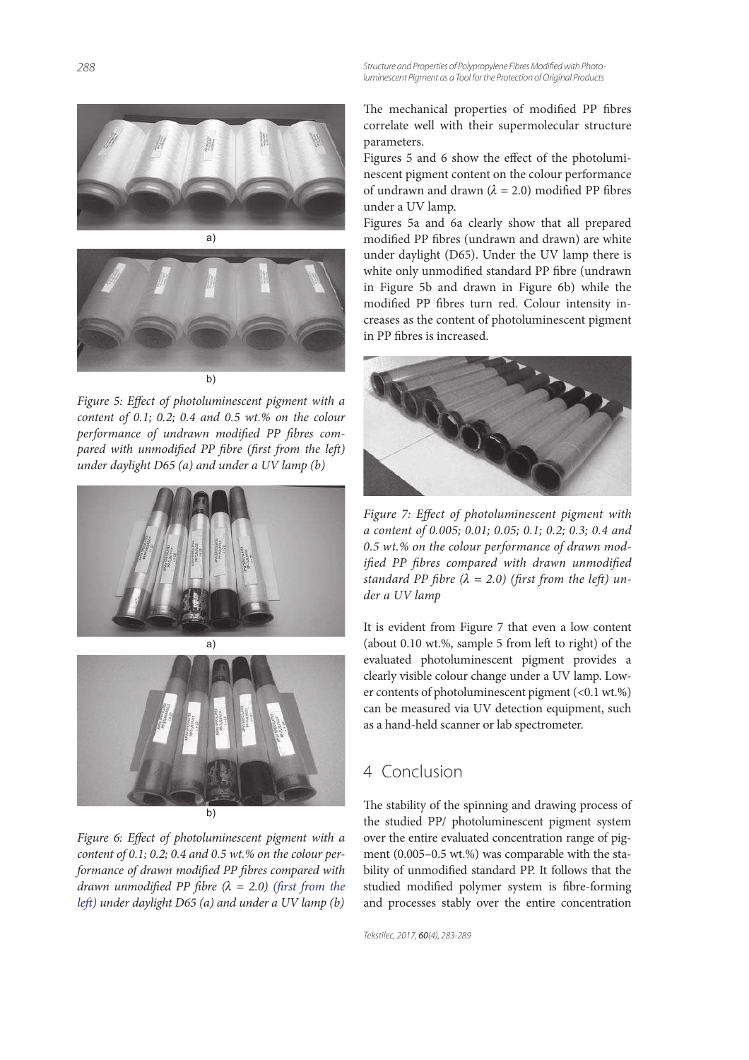Structure and Properties of Polypropylene Fibres Modified with Photo*luminescent Pigment as a Tool for the Protection of Original Products*



![](_page_5_Picture_2.jpeg)

Figure 5: Effect of photoluminescent pigment with a content of 0.1; 0.2; 0.4 and 0.5 wt.% on the colour performance of undrawn modified PP fibres compared with unmodified PP fibre (first from the left) under daylight D65 (a) and under a UV lamp (b)

![](_page_5_Picture_4.jpeg)

b)

Figure 6: Effect of photoluminescent pigment with a content of  $0.1$ ;  $0.2$ ;  $0.4$  and  $0.5$  wt.% on the colour performance of drawn modified PP fibres compared with drawn unmodified PP fibre  $(\lambda = 2.0)$  (first from the left) under daylight D65 (a) and under a UV lamp (b)

The mechanical properties of modified PP fibres correlate well with their supermolecular structure parameters.

Figures 5 and 6 show the effect of the photoluminescent pigment content on the colour performance of undrawn and drawn ( $\lambda = 2.0$ ) modified PP fibres under a UV lamp.

Figures 5a and 6a clearly show that all prepared modified PP fibres (undrawn and drawn) are white under daylight (D65). Under the UV lamp there is white only unmodified standard PP fibre (undrawn in Figure 5b and drawn in Figure 6b) while the modified PP fibres turn red. Colour intensity increases as the content of photoluminescent pigment in PP fibres is increased.

![](_page_5_Picture_10.jpeg)

Figure 7: Effect of photoluminescent pigment with a content of 0.005; 0.01; 0.05; 0.1; 0.2; 0.3; 0.4 and 0.5 wt.% on the colour performance of drawn modified PP fibres compared with drawn unmodified standard PP fibre ( $\lambda = 2.0$ ) (first from the left) under a UV lamp

It is evident from Figure 7 that even a low content (about  $0.10$  wt.%, sample 5 from left to right) of the evaluated photoluminescent pigment provides a clearly visible colour change under a UV lamp. Lower contents of photoluminescent pigment (<0.1 wt.%) can be measured via UV detection equipment, such as a hand-held scanner or lab spectrometer.

# 4 Conclusion

The stability of the spinning and drawing process of the studied PP/ photoluminescent pigment system over the entire evaluated concentration range of pigment (0.005–0.5 wt.%) was comparable with the stability of unmodified standard PP. It follows that the studied modified polymer system is fibre-forming and processes stably over the entire concentration

*Tekstilec, 2017,* 60*(4), 283-289*